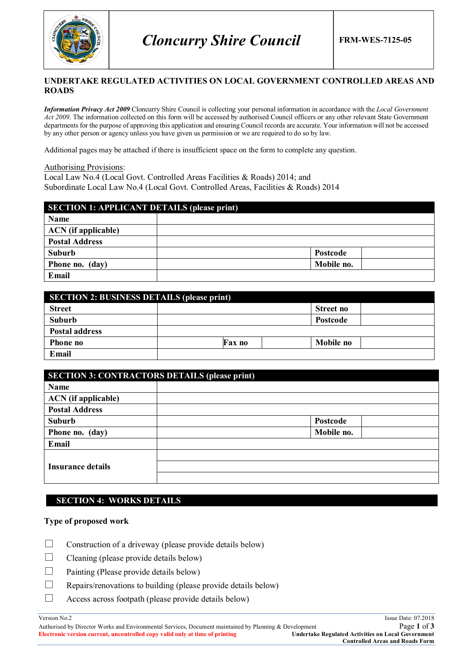

### **UNDERTAKE REGULATED ACTIVITIES ON LOCAL GOVERNMENT CONTROLLED AREAS AND ROADS**

*Information Privacy Act 2009* Cloncurry Shire Council is collecting your personal information in accordance with the *Local Government Act 2009*. The information collected on this form will be accessed by authorised Council officers or any other relevant State Government departments for the purpose of approving this application and ensuring Council records are accurate. Your information will not be accessed by any other person or agency unless you have given us permission or we are required to do so by law.

Additional pages may be attached if there is insufficient space on the form to complete any question.

Authorising Provisions:

Local Law No.4 (Local Govt. Controlled Areas Facilities & Roads) 2014; and Subordinate Local Law No.4 (Local Govt. Controlled Areas, Facilities & Roads) 2014

| <b>SECTION 1: APPLICANT DETAILS (please print)</b> |            |  |
|----------------------------------------------------|------------|--|
| Name                                               |            |  |
| <b>ACN</b> (if applicable)                         |            |  |
| <b>Postal Address</b>                              |            |  |
| Suburb                                             | Postcode   |  |
| Phone no. (day)                                    | Mobile no. |  |
| Email                                              |            |  |

| <b>SECTION 2: BUSINESS DETAILS (please print)</b> |               |                  |  |
|---------------------------------------------------|---------------|------------------|--|
| <b>Street</b>                                     |               | Street no        |  |
| Suburb                                            |               | Postcode         |  |
| <b>Postal address</b>                             |               |                  |  |
| Phone no                                          | <b>Fax no</b> | <b>Mobile no</b> |  |
| Email                                             |               |                  |  |

| <b>SECTION 3: CONTRACTORS DETAILS (please print)</b> |            |  |
|------------------------------------------------------|------------|--|
| Name                                                 |            |  |
| <b>ACN</b> (if applicable)                           |            |  |
| <b>Postal Address</b>                                |            |  |
| <b>Suburb</b>                                        | Postcode   |  |
| Phone no. (day)                                      | Mobile no. |  |
| Email                                                |            |  |
|                                                      |            |  |
| <b>Insurance details</b>                             |            |  |
|                                                      |            |  |

## **SECTION 4: WORKS DETAILS**

### **Type of proposed work**

- $\Box$  Construction of a driveway (please provide details below)
- $\Box$  Cleaning (please provide details below)
- $\Box$  Painting (Please provide details below)
- $\Box$  Repairs/renovations to building (please provide details below)
- $\Box$  Access across footpath (please provide details below)

#### Version No.2 Issue Date: 07.2018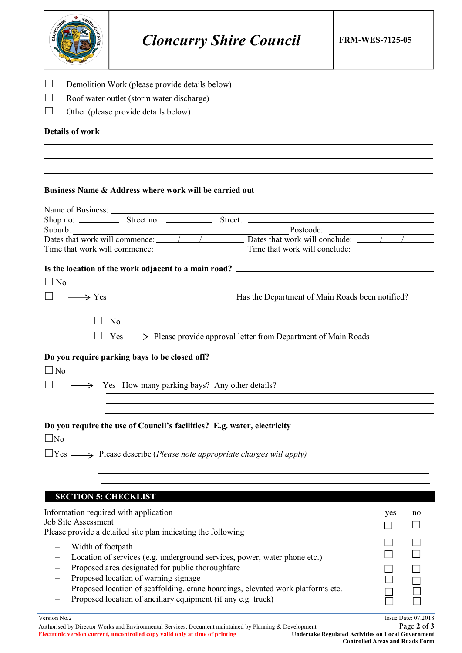| Other (please provide details below)<br><b>Details of work</b> | Demolition Work (please provide details below)<br>Roof water outlet (storm water discharge)                                                                                   |                                                                                                                                                                                                                                                                       |                                                 |
|----------------------------------------------------------------|-------------------------------------------------------------------------------------------------------------------------------------------------------------------------------|-----------------------------------------------------------------------------------------------------------------------------------------------------------------------------------------------------------------------------------------------------------------------|-------------------------------------------------|
|                                                                |                                                                                                                                                                               |                                                                                                                                                                                                                                                                       |                                                 |
|                                                                | Business Name & Address where work will be carried out                                                                                                                        | Shop no: Street no: Street: Street:<br>Suburb: Postcode: Postcode: Postcode: Postcode: Postcode: Postcode: Postcode: Postcode: Postcode: Postcode: Postcode: Postcode: Postcode: Postcode: Postcode: Postcode: Postcode: Postcode: Postcode: Postcode: Postcode: Post |                                                 |
| $\Box$ No<br>$\longrightarrow$ Yes<br>N <sub>0</sub>           |                                                                                                                                                                               | Is the location of the work adjacent to a main road? ____________________________                                                                                                                                                                                     | Has the Department of Main Roads been notified? |
| Do you require parking bays to be closed off?<br>$\Box$ No     | Solution Section Yes How many parking bays? Any other details?                                                                                                                | $Yes \longrightarrow$ Please provide approval letter from Department of Main Roads                                                                                                                                                                                    |                                                 |
| $\Box$ No                                                      | Do you require the use of Council's facilities? E.g. water, electricity<br>$\Box$ Yes $\longrightarrow$ Please describe ( <i>Please note appropriate charges will apply</i> ) |                                                                                                                                                                                                                                                                       |                                                 |

| Information required with application<br><b>Job Site Assessment</b><br>Please provide a detailed site plan indicating the following                                                                                                                                                                                                           | yes | no                                  |
|-----------------------------------------------------------------------------------------------------------------------------------------------------------------------------------------------------------------------------------------------------------------------------------------------------------------------------------------------|-----|-------------------------------------|
| Width of footpath<br>Location of services (e.g. underground services, power, water phone etc.)<br>Proposed area designated for public thoroughfare<br>Proposed location of warning signage<br>Proposed location of scaffolding, crane hoardings, elevated work platforms etc.<br>Proposed location of ancillary equipment (if any e.g. truck) |     |                                     |
| Version No.2<br>$\mathbf{a}$ and $\mathbf{a}$ are the second and $\mathbf{a}$ and $\mathbf{a}$ are the second and $\mathbf{a}$                                                                                                                                                                                                                |     | Issue Date: $07.2018$<br>$D = 0.02$ |